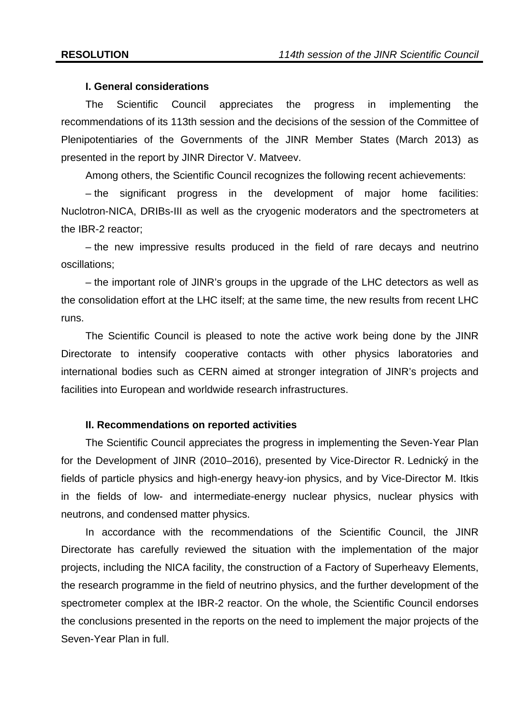### **I. General considerations**

The Scientific Council appreciates the progress in implementing the recommendations of its 113th session and the decisions of the session of the Committee of Plenipotentiaries of the Governments of the JINR Member States (March 2013) as presented in the report by JINR Director V. Matveev.

Among others, the Scientific Council recognizes the following recent achievements:

– the significant progress in the development of major home facilities: Nuclotron-NICA, DRIBs-III as well as the cryogenic moderators and the spectrometers at the IBR-2 reactor;

– the new impressive results produced in the field of rare decays and neutrino oscillations;

– the important role of JINR's groups in the upgrade of the LHC detectors as well as the consolidation effort at the LHC itself; at the same time, the new results from recent LHC runs.

The Scientific Council is pleased to note the active work being done by the JINR Directorate to intensify cooperative contacts with other physics laboratories and international bodies such as CERN aimed at stronger integration of JINR's projects and facilities into European and worldwide research infrastructures.

#### **II. Recommendations on reported activities**

The Scientific Council appreciates the progress in implementing the Seven-Year Plan for the Development of JINR (2010–2016), presented by Vice-Director R. Lednický in the fields of particle physics and high-energy heavy-ion physics, and by Vice-Director M. Itkis in the fields of low- and intermediate-energy nuclear physics, nuclear physics with neutrons, and condensed matter physics.

In accordance with the recommendations of the Scientific Council, the JINR Directorate has carefully reviewed the situation with the implementation of the major projects, including the NICA facility, the construction of a Factory of Superheavy Elements, the research programme in the field of neutrino physics, and the further development of the spectrometer complex at the IBR-2 reactor. On the whole, the Scientific Council endorses the conclusions presented in the reports on the need to implement the major projects of the Seven-Year Plan in full.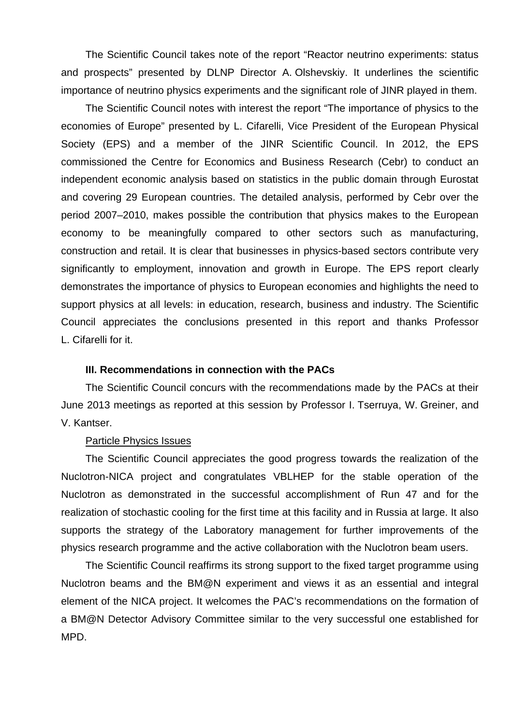The Scientific Council takes note of the report "Reactor neutrino experiments: status and prospects" presented by DLNP Director A. Olshevskiy. It underlines the scientific importance of neutrino physics experiments and the significant role of JINR played in them.

The Scientific Council notes with interest the report "The importance of physics to the economies of Europe" presented by L. Cifarelli, Vice President of the European Physical Society (EPS) and a member of the JINR Scientific Council. In 2012, the EPS commissioned the Centre for Economics and Business Research (Cebr) to conduct an independent economic analysis based on statistics in the public domain through Eurostat and covering 29 European countries. The detailed analysis, performed by Cebr over the period 2007–2010, makes possible the contribution that physics makes to the European economy to be meaningfully compared to other sectors such as manufacturing, construction and retail. It is clear that businesses in physics-based sectors contribute very significantly to employment, innovation and growth in Europe. The EPS report clearly demonstrates the importance of physics to European economies and highlights the need to support physics at all levels: in education, research, business and industry. The Scientific Council appreciates the conclusions presented in this report and thanks Professor L. Cifarelli for it.

#### **III. Recommendations in connection with the PACs**

The Scientific Council concurs with the recommendations made by the PACs at their June 2013 meetings as reported at this session by Professor I. Tserruya, W. Greiner, and V. Kantser.

#### Particle Physics Issues

The Scientific Council appreciates the good progress towards the realization of the Nuclotron-NICA project and congratulates VBLHEP for the stable operation of the Nuclotron as demonstrated in the successful accomplishment of Run 47 and for the realization of stochastic cooling for the first time at this facility and in Russia at large. It also supports the strategy of the Laboratory management for further improvements of the physics research programme and the active collaboration with the Nuclotron beam users.

The Scientific Council reaffirms its strong support to the fixed target programme using Nuclotron beams and the BM@N experiment and views it as an essential and integral element of the NICA project. It welcomes the PAC's recommendations on the formation of a BM@N Detector Advisory Committee similar to the very successful one established for MPD.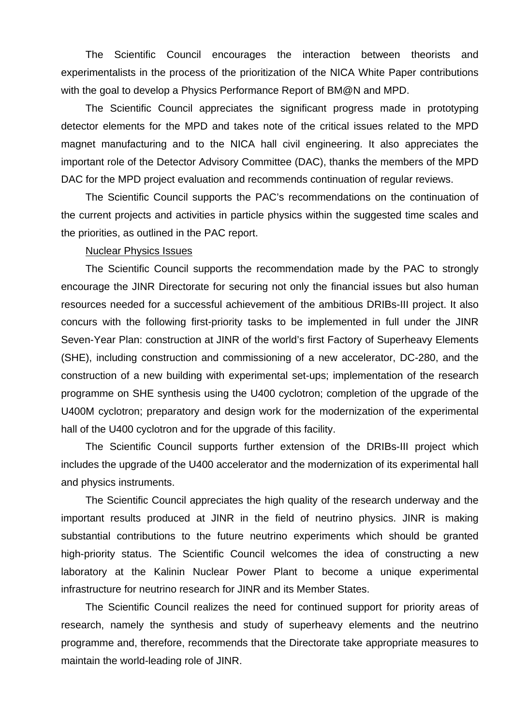The Scientific Council encourages the interaction between theorists and experimentalists in the process of the prioritization of the NICA White Paper contributions with the goal to develop a Physics Performance Report of BM@N and MPD.

The Scientific Council appreciates the significant progress made in prototyping detector elements for the MPD and takes note of the critical issues related to the MPD magnet manufacturing and to the NICA hall civil engineering. It also appreciates the important role of the Detector Advisory Committee (DAC), thanks the members of the MPD DAC for the MPD project evaluation and recommends continuation of regular reviews.

The Scientific Council supports the PAC's recommendations on the continuation of the current projects and activities in particle physics within the suggested time scales and the priorities, as outlined in the PAC report.

#### Nuclear Physics Issues

The Scientific Council supports the recommendation made by the PAC to strongly encourage the JINR Directorate for securing not only the financial issues but also human resources needed for a successful achievement of the ambitious DRIBs-III project. It also concurs with the following first-priority tasks to be implemented in full under the JINR Seven-Year Plan: construction at JINR of the world's first Factory of Superheavy Elements (SHE), including construction and commissioning of a new accelerator, DC-280, and the construction of a new building with experimental set-ups; implementation of the research programme on SHE synthesis using the U400 cyclotron; completion of the upgrade of the U400M cyclotron; preparatory and design work for the modernization of the experimental hall of the U400 cyclotron and for the upgrade of this facility.

The Scientific Council supports further extension of the DRIBs-III project which includes the upgrade of the U400 accelerator and the modernization of its experimental hall and physics instruments.

The Scientific Council appreciates the high quality of the research underway and the important results produced at JINR in the field of neutrino physics. JINR is making substantial contributions to the future neutrino experiments which should be granted high-priority status. The Scientific Council welcomes the idea of constructing a new laboratory at the Kalinin Nuclear Power Plant to become a unique experimental infrastructure for neutrino research for JINR and its Member States.

The Scientific Council realizes the need for continued support for priority areas of research, namely the synthesis and study of superheavy elements and the neutrino programme and, therefore, recommends that the Directorate take appropriate measures to maintain the world-leading role of JINR.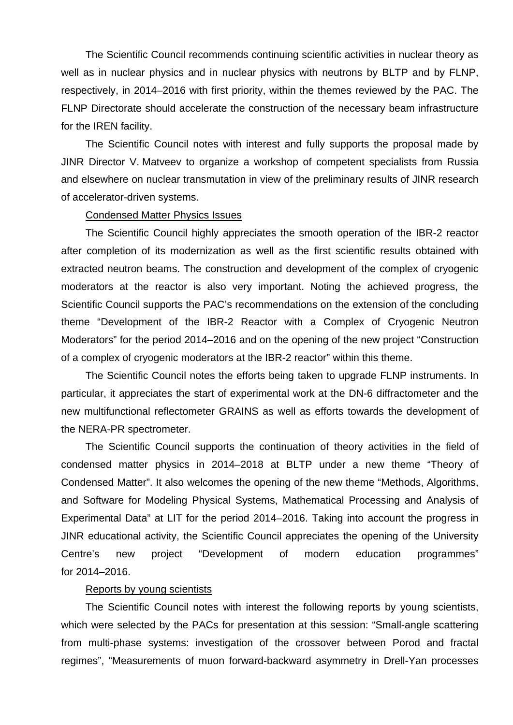The Scientific Council recommends continuing scientific activities in nuclear theory as well as in nuclear physics and in nuclear physics with neutrons by BLTP and by FLNP, respectively, in 2014–2016 with first priority, within the themes reviewed by the PAC. The FLNP Directorate should accelerate the construction of the necessary beam infrastructure for the IREN facility.

The Scientific Council notes with interest and fully supports the proposal made by JINR Director V. Matveev to organize a workshop of competent specialists from Russia and elsewhere on nuclear transmutation in view of the preliminary results of JINR research of accelerator-driven systems.

#### Condensed Matter Physics Issues

The Scientific Council highly appreciates the smooth operation of the IBR-2 reactor after completion of its modernization as well as the first scientific results obtained with extracted neutron beams. The construction and development of the complex of cryogenic moderators at the reactor is also very important. Noting the achieved progress, the Scientific Council supports the PAC's recommendations on the extension of the concluding theme "Development of the IBR-2 Reactor with a Complex of Cryogenic Neutron Moderators" for the period 2014–2016 and on the opening of the new project "Construction of a complex of cryogenic moderators at the IBR-2 reactor" within this theme.

The Scientific Council notes the efforts being taken to upgrade FLNP instruments. In particular, it appreciates the start of experimental work at the DN-6 diffractometer and the new multifunctional reflectometer GRAINS as well as efforts towards the development of the NERA-PR spectrometer.

The Scientific Council supports the continuation of theory activities in the field of condensed matter physics in 2014–2018 at BLTP under a new theme "Theory of Condensed Matter". It also welcomes the opening of the new theme "Methods, Algorithms, and Software for Modeling Physical Systems, Mathematical Processing and Analysis of Experimental Data" at LIT for the period 2014–2016. Taking into account the progress in JINR educational activity, the Scientific Council appreciates the opening of the University Centre's new project "Development of modern education programmes" for 2014–2016.

### Reports by young scientists

The Scientific Council notes with interest the following reports by young scientists, which were selected by the PACs for presentation at this session: "Small-angle scattering from multi-phase systems: investigation of the crossover between Porod and fractal regimes", "Measurements of muon forward-backward asymmetry in Drell-Yan processes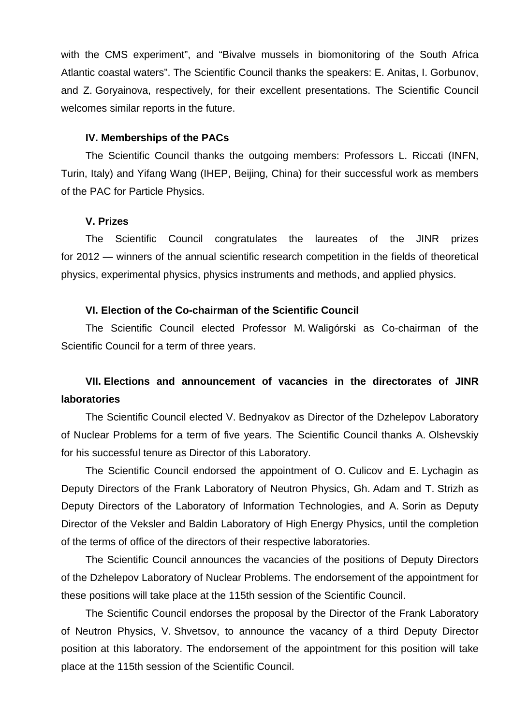with the CMS experiment", and "Bivalve mussels in biomonitoring of the South Africa Atlantic coastal waters". The Scientific Council thanks the speakers: E. Anitas, I. Gorbunov, and Z. Goryainova, respectively, for their excellent presentations. The Scientific Council welcomes similar reports in the future.

## **IV. Memberships of the PACs**

The Scientific Council thanks the outgoing members: Professors L. Riccati (INFN, Turin, Italy) and Yifang Wang (IHEP, Beijing, China) for their successful work as members of the PAC for Particle Physics.

### **V. Prizes**

The Scientific Council congratulates the laureates of the JINR prizes for 2012 — winners of the annual scientific research competition in the fields of theoretical physics, experimental physics, physics instruments and methods, and applied physics.

## **VI. Election of the Co-chairman of the Scientific Council**

The Scientific Council elected Professor M. Waligórski as Co-chairman of the Scientific Council for a term of three years.

# **VII. Elections and announcement of vacancies in the directorates of JINR laboratories**

The Scientific Council elected V. Bednyakov as Director of the Dzhelepov Laboratory of Nuclear Problems for a term of five years. The Scientific Council thanks A. Olshevskiy for his successful tenure as Director of this Laboratory.

The Scientific Council endorsed the appointment of O. Culicov and E. Lychagin as Deputy Directors of the Frank Laboratory of Neutron Physics, Gh. Adam and T. Strizh as Deputy Directors of the Laboratory of Information Technologies, and A. Sorin as Deputy Director of the Veksler and Baldin Laboratory of High Energy Physics, until the completion of the terms of office of the directors of their respective laboratories.

The Scientific Council announces the vacancies of the positions of Deputy Directors of the Dzhelepov Laboratory of Nuclear Problems. The endorsement of the appointment for these positions will take place at the 115th session of the Scientific Council.

The Scientific Council endorses the proposal by the Director of the Frank Laboratory of Neutron Physics, V. Shvetsov, to announce the vacancy of a third Deputy Director position at this laboratory. The endorsement of the appointment for this position will take place at the 115th session of the Scientific Council.